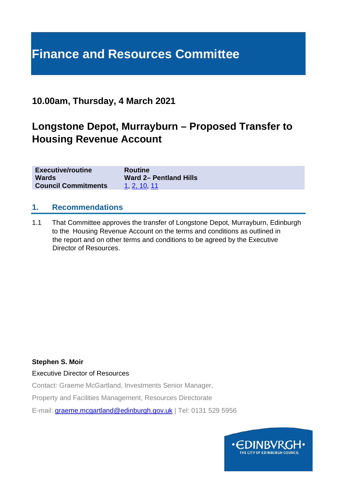# **Finance and Resources Committee**

### **10.00am, Thursday, 4 March 2021**

## **Longstone Depot, Murrayburn – Proposed Transfer to Housing Revenue Account**

| <b>Executive/routine</b>   | <b>Routine</b>         |
|----------------------------|------------------------|
| <b>Wards</b>               | Ward 2- Pentland Hills |
| <b>Council Commitments</b> | 1 2, 10 11             |

#### **1. Recommendations**

1.1 That Committee approves the transfer of Longstone Depot, Murrayburn, Edinburgh to the Housing Revenue Account on the terms and conditions as outlined in the report and on other terms and conditions to be agreed by the Executive Director of Resources.

#### **Stephen S. Moir**

Executive Director of Resources

Contact: Graeme McGartland, Investments Senior Manager,

Property and Facilities Management, Resources Directorate

E-mail: [graeme.mcgartland@edinburgh.gov.uk](mailto:graeme.mcgartland@edinburgh.gov.uk) | Tel: 0131 529 5956

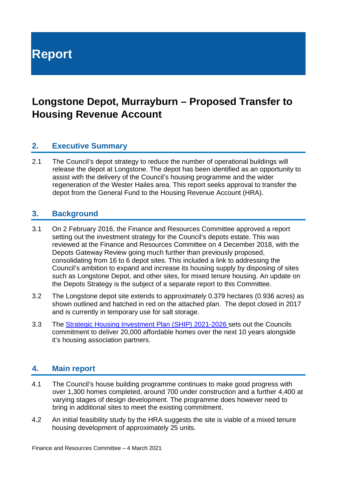**Report**

### **Longstone Depot, Murrayburn – Proposed Transfer to Housing Revenue Account**

#### **2. Executive Summary**

2.1 The Council's depot strategy to reduce the number of operational buildings will release the depot at Longstone. The depot has been identified as an opportunity to assist with the delivery of the Council's housing programme and the wider regeneration of the Wester Hailes area. This report seeks approval to transfer the depot from the General Fund to the Housing Revenue Account (HRA).

#### **3. Background**

- 3.1 On 2 February 2016, the Finance and Resources Committee approved a report setting out the investment strategy for the Council's depots estate. This was reviewed at the Finance and Resources Committee on 4 December 2018, with the Depots Gateway Review going much further than previously proposed, consolidating from 16 to 6 depot sites. This included a link to addressing the Council's ambition to expand and increase its housing supply by disposing of sites such as Longstone Depot, and other sites, for mixed tenure housing. An update on the Depots Strategy is the subject of a separate report to this Committee.
- 3.2 The Longstone depot site extends to approximately 0.379 hectares (0.936 acres) as shown outlined and hatched in red on the attached plan. The depot closed in 2017 and is currently in temporary use for salt storage.
- 3.3 The [Strategic Housing Investment Plan \(SHIP\)](https://democracy.edinburgh.gov.uk/documents/s30291/7.1%20-%20Strategic%20Housing%20Investment%20Plan%20SHIP%202021-2026.pdf) 2021-2026 sets out the Councils commitment to deliver 20,000 affordable homes over the next 10 years alongside it's housing association partners.

#### **4. Main report**

- 4.1 The Council's house building programme continues to make good progress with over 1,300 homes completed, around 700 under construction and a further 4,400 at varying stages of design development. The programme does however need to bring in additional sites to meet the existing commitment.
- 4.2 An initial feasibility study by the HRA suggests the site is viable of a mixed tenure housing development of approximately 25 units.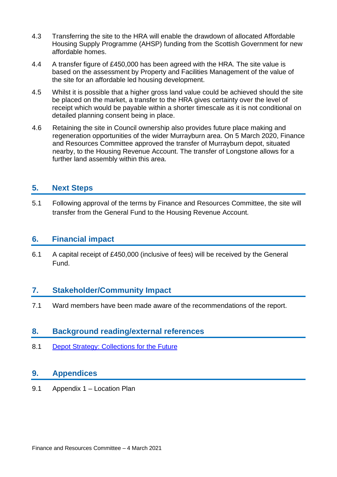- 4.3 Transferring the site to the HRA will enable the drawdown of allocated Affordable Housing Supply Programme (AHSP) funding from the Scottish Government for new affordable homes.
- 4.4 A transfer figure of £450,000 has been agreed with the HRA. The site value is based on the assessment by Property and Facilities Management of the value of the site for an affordable led housing development.
- 4.5 Whilst it is possible that a higher gross land value could be achieved should the site be placed on the market, a transfer to the HRA gives certainty over the level of receipt which would be payable within a shorter timescale as it is not conditional on detailed planning consent being in place.
- 4.6 Retaining the site in Council ownership also provides future place making and regeneration opportunities of the wider Murrayburn area. On 5 March 2020, Finance and Resources Committee approved the transfer of Murrayburn depot, situated nearby, to the Housing Revenue Account. The transfer of Longstone allows for a further land assembly within this area.

#### **5. Next Steps**

5.1 Following approval of the terms by Finance and Resources Committee, the site will transfer from the General Fund to the Housing Revenue Account.

#### **6. Financial impact**

6.1 A capital receipt of £450,000 (inclusive of fees) will be received by the General Fund.

#### **7. Stakeholder/Community Impact**

7.1 Ward members have been made aware of the recommendations of the report.

#### **8. Background reading/external references**

8.1 [Depot Strategy: Collections for the Future](https://democracy.edinburgh.gov.uk/documents/s9493/depots%20strategy%20with%20app.pdf)

#### **9. Appendices**

9.1 Appendix 1 – Location Plan